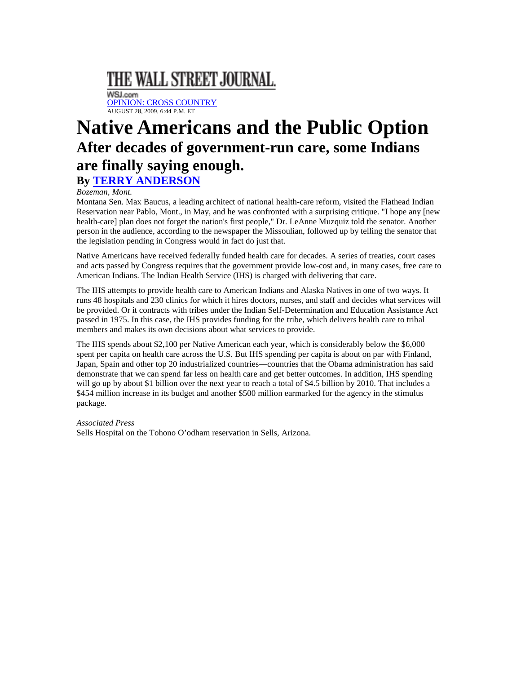## THE WALL STREET JOURNAL.

WSJ.com [OPINION: CROSS COUNTRY](http://online.wsj.com/public/search?article-doc-type=%7BCross+Country%7D&HEADER_TEXT=cross+country) AUGUST 28, 2009, 6:44 P.M. ET

## **Native Americans and the Public Option After decades of government-run care, some Indians are finally saying enough. By [TERRY ANDERSON](http://online.wsj.com/search/search_center.html?KEYWORDS=TERRY+ANDERSON&ARTICLESEARCHQUERY_PARSER=bylineAND)**

## *Bozeman, Mont.*

Montana Sen. Max Baucus, a leading architect of national health-care reform, visited the Flathead Indian Reservation near Pablo, Mont., in May, and he was confronted with a surprising critique. "I hope any [new health-care] plan does not forget the nation's first people," Dr. LeAnne Muzquiz told the senator. Another person in the audience, according to the newspaper the Missoulian, followed up by telling the senator that the legislation pending in Congress would in fact do just that.

Native Americans have received federally funded health care for decades. A series of treaties, court cases and acts passed by Congress requires that the government provide low-cost and, in many cases, free care to American Indians. The Indian Health Service (IHS) is charged with delivering that care.

The IHS attempts to provide health care to American Indians and Alaska Natives in one of two ways. It runs 48 hospitals and 230 clinics for which it hires doctors, nurses, and staff and decides what services will be provided. Or it contracts with tribes under the Indian Self-Determination and Education Assistance Act passed in 1975. In this case, the IHS provides funding for the tribe, which delivers health care to tribal members and makes its own decisions about what services to provide.

The IHS spends about \$2,100 per Native American each year, which is considerably below the \$6,000 spent per capita on health care across the U.S. But IHS spending per capita is about on par with Finland, Japan, Spain and other top 20 industrialized countries—countries that the Obama administration has said demonstrate that we can spend far less on health care and get better outcomes. In addition, IHS spending will go up by about \$1 billion over the next year to reach a total of \$4.5 billion by 2010. That includes a \$454 million increase in its budget and another \$500 million earmarked for the agency in the stimulus package.

## *Associated Press*

Sells Hospital on the Tohono O'odham reservation in Sells, Arizona.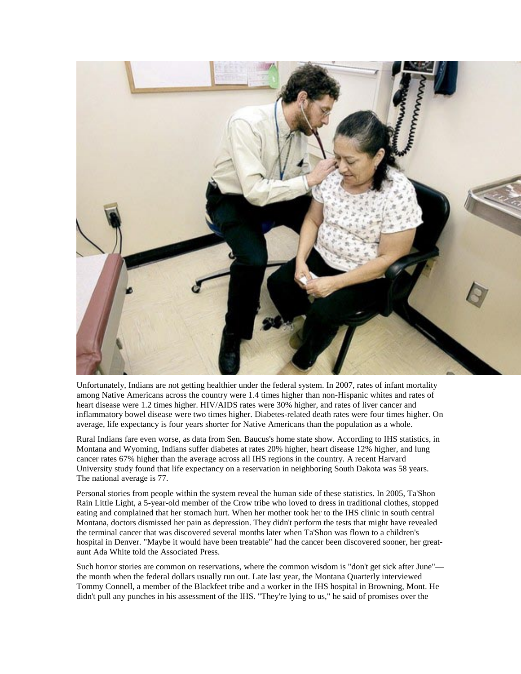

Unfortunately, Indians are not getting healthier under the federal system. In 2007, rates of infant mortality among Native Americans across the country were 1.4 times higher than non-Hispanic whites and rates of heart disease were 1.2 times higher. HIV/AIDS rates were 30% higher, and rates of liver cancer and inflammatory bowel disease were two times higher. Diabetes-related death rates were four times higher. On average, life expectancy is four years shorter for Native Americans than the population as a whole.

Rural Indians fare even worse, as data from Sen. Baucus's home state show. According to IHS statistics, in Montana and Wyoming, Indians suffer diabetes at rates 20% higher, heart disease 12% higher, and lung cancer rates 67% higher than the average across all IHS regions in the country. A recent Harvard University study found that life expectancy on a reservation in neighboring South Dakota was 58 years. The national average is 77.

Personal stories from people within the system reveal the human side of these statistics. In 2005, Ta'Shon Rain Little Light, a 5-year-old member of the Crow tribe who loved to dress in traditional clothes, stopped eating and complained that her stomach hurt. When her mother took her to the IHS clinic in south central Montana, doctors dismissed her pain as depression. They didn't perform the tests that might have revealed the terminal cancer that was discovered several months later when Ta'Shon was flown to a children's hospital in Denver. "Maybe it would have been treatable" had the cancer been discovered sooner, her greataunt Ada White told the Associated Press.

Such horror stories are common on reservations, where the common wisdom is "don't get sick after June" the month when the federal dollars usually run out. Late last year, the Montana Quarterly interviewed Tommy Connell, a member of the Blackfeet tribe and a worker in the IHS hospital in Browning, Mont. He didn't pull any punches in his assessment of the IHS. "They're lying to us," he said of promises over the